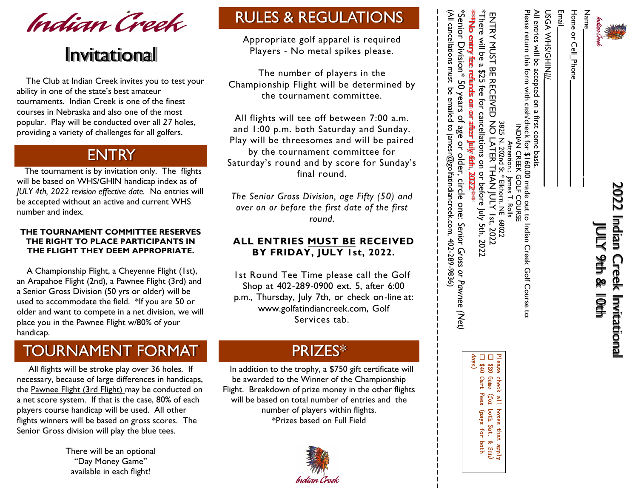

# 2022 Indian Creek Invitational 2022 Indian Creek Invitational JULY 9th & 10th JULY 9th & 10th

Home or Cell\_Phone  $N$ ame $\Box$ 

Email

**USGA WHS/GHN#** Home or Cell\_Phone\_\_\_\_\_\_\_\_\_\_\_\_\_\_\_\_\_\_\_\_\_\_\_\_ Email\_\_\_\_\_\_\_\_\_\_\_\_\_\_\_\_\_\_\_\_\_\_\_\_\_\_\_\_\_\_\_\_\_\_\_\_ USGA WHS/GHIN#/\_\_\_\_\_\_\_\_\_\_\_\_\_\_\_\_\_\_\_\_\_\_\_\_

All entries will be accepted on All entries will be accepted on a first come basis. ച്ച first come basis.

Please return this torm with cash/check for Please return this form with cash/check for \$1 INDIAN CREEK INDIAN CREEK GOLF COURSE Attention.: Attention.: James T. Rolls  $\leftrightarrow$ 160.00 made .00 made out to Indian Creek Golf Course to: ດ  $\bar{\Omega}$ to Indian Creek Golf Course to:

\*There will be a \$25 fee for cancellations on or before July 5th, 2022 ENTRY MUST BE RECE<br>FThere will be a \$25 fee ENTRY MUST BE RECEIVED NO LATER THAN JULY 1st, 2022 **RECEIVED** for cancellations on or before NO LATER 3825 N. 3825 N. 202nd St \* Elkhorn, NE 68022 202nd **THAN** July 5th, 2022 [ lst, 2022 68022

\*\*\*No entry fee refunds on or after July 6th, 2022\*\*\* \*No entry fee refunds om or after July 6th,

Please check all boxes that apply ☐ \$20 Game (for both Sat. & Sun) ☐ \$40 Cart Fees (pays for both Game **Cart Fees** check all (for boxes (pays both Sat. for that both apply<br>Wind

\*Senior Division\* 50 years of age or older, circle one: Senior Gross or Pawnee (Net) \*Senior Division\* 50 years of age or older, circle one: *Senior Gross or Pawnee (Net)*

Championship Flight will be determined by the tournament committee. All flights will tee off between 7:00 a.m. and 1:00 p.m. both Saturday and Sunday. Play will be threesomes and will be paired by the tournament committee for Saturday's round and by score for Sunday's *The Senior Gross Division, age Fifty (50) and over on or before the first date of the first*  **ALL ENTRIES MUST BE RECEIVED BY FRIDAY, JULY 1st, 2022.**  1st Round Tee Time please call the Golf Shop at 402-289-0900 ext. 5, after 6:00 p.m., Thursday, July 7th, or check on-line at: www.golfatindiancreek.com, Golf \_ \_ \_ \_ \_ \_ \_ \_ \_ \_ \_ \_ \_ \_ \_ \_ \_ \_ \_ \_ \_ \_ \_ \_ \_ \_ \_ \_ \_ \_ \_ \_ \_ \_ \_ \_ \_ \_ \_ \_ \_ \_ \_ \_ \_ \_ \_ \_ \_ \_ \_ \_ \_ \_ \_ \_ \_ \_ \_ \_ \_ \_ \_

# *Business Name* days)

\_ \_ \_ \_ \_ \_ \_ \_ \_

(All cancellations must be emailed to jamesr@golfatindiancreek.com, 402-289-9836) (All cancellations must be emailed to jamesr@golfatindiancreek.com, 402-289-9836)



# Invitational

 The Club at Indian Creek invites you to test your ability in one of the state's best amateur tournaments. Indian Creek is one of the finest courses in Nebraska and also one of the most popular. Play will be conducted over all *27* holes, providing a variety of challenges for all golfers.

### **ENTRY**

 The tournament is by invitation only. The flights will be based on WHS/GHIN handicap index as of *JULY 4th, 2022 revision effective date.* No entries will be accepted without an active and current WHS number and index.

#### **THE TOURNAMENT COMMITTEE RESERVES THE RIGHT TO PLACE PARTICIPANTS IN THE FLIGHT THEY DEEM APPROPRIATE.**

 A Championship Flight, a Cheyenne Flight (1st), an Arapahoe Flight (2nd), a Pawnee Flight (3rd) and a Senior Gross Division (50 yrs or older) will be used to accommodate the field. \*If you are 50 or older and want to compete in a net division, we will place you in the Pawnee Flight w/80% of your handicap.

## TOURNAMENT FORMAT

 All flights will be stroke play over 36 holes. If necessary, because of large differences in handicaps, the Pawnee Flight (3rd Flight) may be conducted on a net score system. If that is the case, 80% of each players course handicap will be used. All other flights winners will be based on gross scores. The Senior Gross division will play the blue tees.

> There will be an optional "Day Money Game" available in each flight!

#### PRIZES\*

Services tab.

Appropriate golf apparel is required Players - No metal spikes please.

RULES & REGULATIONS

The number of players in the

final round.

*round.* 

 In addition to the trophy, a \$750 gift certificate will be awarded to the Winner of the Championship Flight. Breakdown of prize money in the other flights will be based on total number of entries and the number of players within flights. \*Prizes based on Full Field